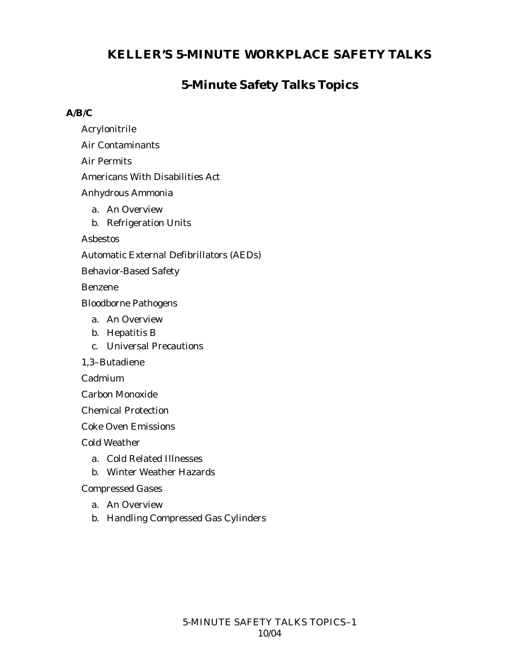## **5-Minute Safety Talks Topics**

#### **A/B/C**

- Acrylonitrile
- Air Contaminants
- Air Permits
- Americans With Disabilities Act
- Anhydrous Ammonia
	- a. An Overview
	- b. Refrigeration Units

Asbestos

Automatic External Defibrillators (AEDs)

Behavior-Based Safety

Benzene

Bloodborne Pathogens

- a. An Overview
- b. Hepatitis B
- c. Universal Precautions

1,3–Butadiene

Cadmium

Carbon Monoxide

Chemical Protection

Coke Oven Emissions

Cold Weather

- a. Cold Related Illnesses
- b. Winter Weather Hazards

Compressed Gases

- a. An Overview
- b. Handling Compressed Gas Cylinders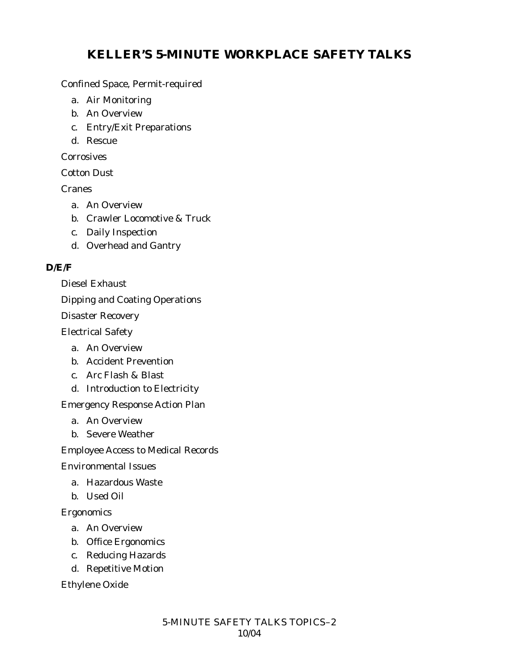Confined Space, Permit-required

- a. Air Monitoring
- b. An Overview
- c. Entry/Exit Preparations
- d. Rescue

**Corrosives** 

Cotton Dust

Cranes

- a. An Overview
- b. Crawler Locomotive & Truck
- c. Daily Inspection
- d. Overhead and Gantry

### **D/E/F**

Diesel Exhaust

Dipping and Coating Operations

Disaster Recovery

Electrical Safety

- a. An Overview
- b. Accident Prevention
- c. Arc Flash & Blast
- d. Introduction to Electricity

Emergency Response Action Plan

- a. An Overview
- b. Severe Weather

Employee Access to Medical Records

Environmental Issues

- a. Hazardous Waste
- b. Used Oil

### Ergonomics

- a. An Overview
- b. Office Ergonomics
- c. Reducing Hazards
- d. Repetitive Motion

Ethylene Oxide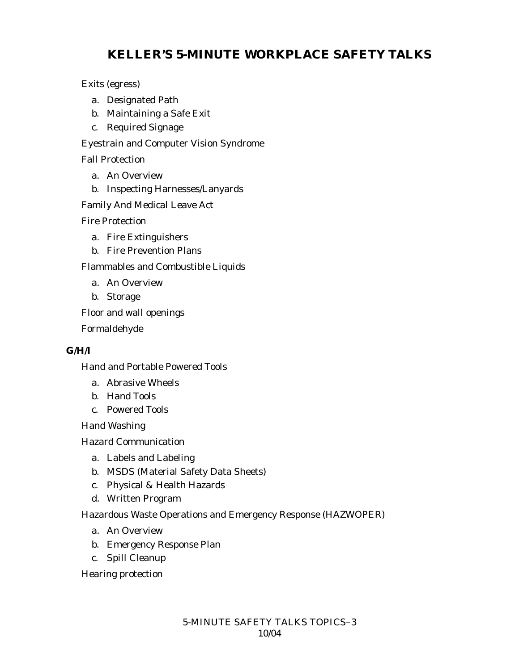Exits (egress)

- a. Designated Path
- b. Maintaining a Safe Exit
- c. Required Signage

Eyestrain and Computer Vision Syndrome

Fall Protection

- a. An Overview
- b. Inspecting Harnesses/Lanyards

Family And Medical Leave Act

Fire Protection

- a. Fire Extinguishers
- b. Fire Prevention Plans

Flammables and Combustible Liquids

- a. An Overview
- b. Storage

Floor and wall openings

Formaldehyde

### **G/H/I**

Hand and Portable Powered Tools

- a. Abrasive Wheels
- b. Hand Tools
- c. Powered Tools

Hand Washing

Hazard Communication

- a. Labels and Labeling
- b. MSDS (Material Safety Data Sheets)
- c. Physical & Health Hazards
- d. Written Program

Hazardous Waste Operations and Emergency Response (HAZWOPER)

- a. An Overview
- b. Emergency Response Plan
- c. Spill Cleanup

Hearing protection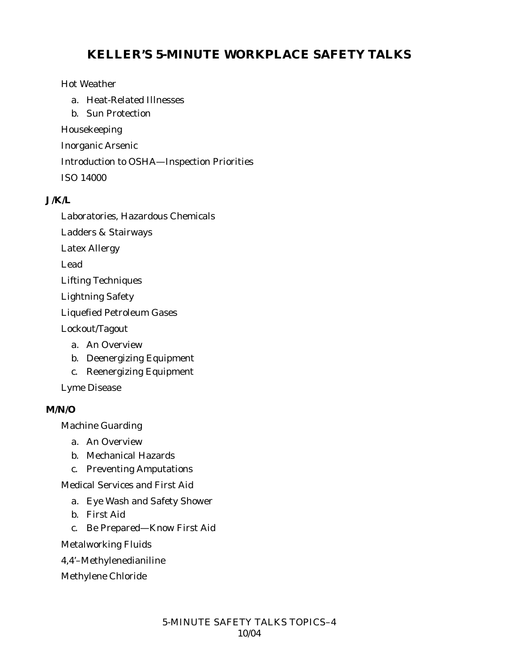#### Hot Weather

- a. Heat-Related Illnesses
- b. Sun Protection

Housekeeping

Inorganic Arsenic

Introduction to OSHA—Inspection Priorities

ISO 14000

#### **J/K/L**

Laboratories, Hazardous Chemicals

Ladders & Stairways

Latex Allergy

Lead

Lifting Techniques

Lightning Safety

Liquefied Petroleum Gases

Lockout/Tagout

- a. An Overview
- b. Deenergizing Equipment
- c. Reenergizing Equipment

Lyme Disease

#### **M/N/O**

Machine Guarding

- a. An Overview
- b. Mechanical Hazards
- c. Preventing Amputations

Medical Services and First Aid

- a. Eye Wash and Safety Shower
- b. First Aid
- c. Be Prepared—Know First Aid

Metalworking Fluids

- 4,4'–Methylenedianiline
- Methylene Chloride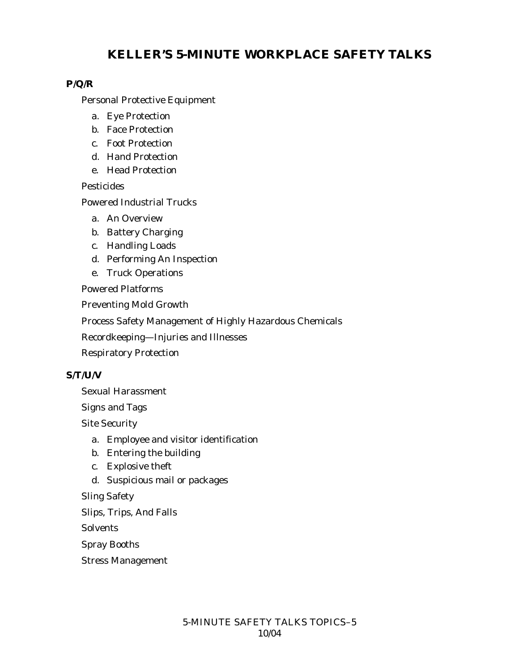### **P/Q/R**

Personal Protective Equipment

- a. Eye Protection
- b. Face Protection
- c. Foot Protection
- d. Hand Protection
- e. Head Protection

Pesticides

Powered Industrial Trucks

- a. An Overview
- b. Battery Charging
- c. Handling Loads
- d. Performing An Inspection
- e. Truck Operations

Powered Platforms

Preventing Mold Growth

Process Safety Management of Highly Hazardous Chemicals

Recordkeeping—Injuries and Illnesses

Respiratory Protection

#### **S/T/U/V**

Sexual Harassment

Signs and Tags

Site Security

- a. Employee and visitor identification
- b. Entering the building
- c. Explosive theft
- d. Suspicious mail or packages

Sling Safety

Slips, Trips, And Falls

**Solvents** 

Spray Booths

Stress Management

### 5-MINUTE SAFETY TALKS TOPICS–5 10/04